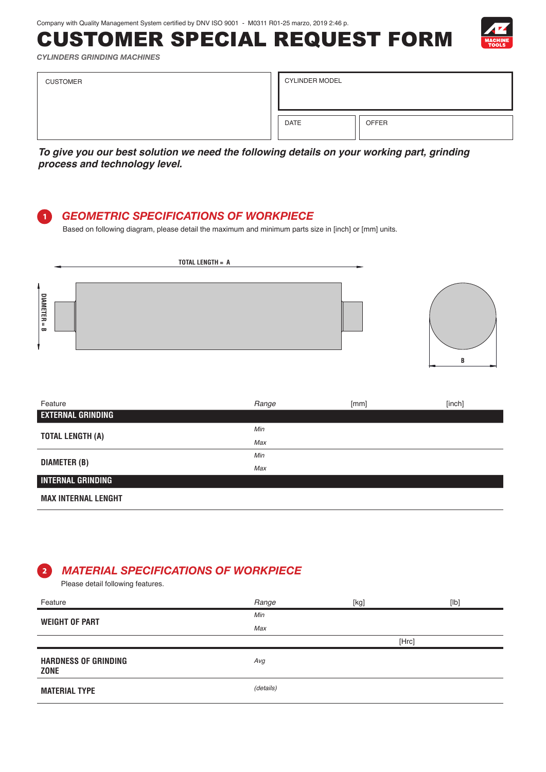## CUSTOMER SPECIAL REQUEST FORM



*CYLINDERS GRINDING MACHINES*

| <b>CUSTOMER</b> | <b>CYLINDER MODEL</b> |              |
|-----------------|-----------------------|--------------|
|                 | <b>DATE</b>           | <b>OFFER</b> |

*To give you our best solution we need the following details on your working part, grinding process and technology level.*



## *GEOMETRIC SPECIFICATIONS OF WORKPIECE*

Based on following diagram, please detail the maximum and minimum parts size in [inch] or [mm] units.





| Feature                    | Range | [mm] | [inch] |
|----------------------------|-------|------|--------|
| <b>EXTERNAL GRINDING</b>   |       |      |        |
| <b>TOTAL LENGTH (A)</b>    | Min   |      |        |
|                            | Max   |      |        |
|                            | Min   |      |        |
| <b>DIAMETER (B)</b>        | Max   |      |        |
| <b>INTERNAL GRINDING</b>   |       |      |        |
| <b>MAX INTERNAL LENGHT</b> |       |      |        |

## *MATERIAL SPECIFICATIONS OF WORKPIECE*  $\overline{ }$

Please detail following features.

| Feature                                    | Range     | [kg] | [lb]  |
|--------------------------------------------|-----------|------|-------|
| <b>WEIGHT OF PART</b>                      | Min       |      |       |
|                                            | Max       |      |       |
|                                            |           |      | [Hrc] |
| <b>HARDNESS OF GRINDING</b><br><b>ZONE</b> | Avg       |      |       |
| <b>MATERIAL TYPE</b>                       | (details) |      |       |